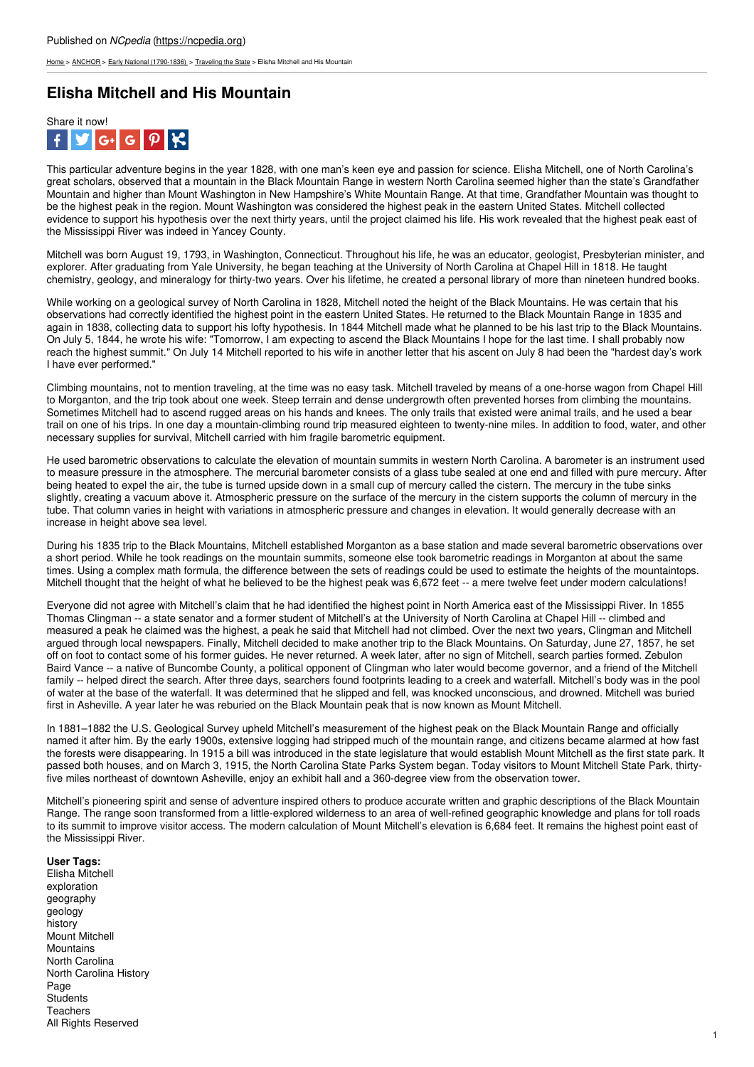[Home](https://ncpedia.org/) > [ANCHOR](https://ncpedia.org/anchor/anchor) > Early National [\(1790-1836\)](https://ncpedia.org/anchor/early-national-1790-1836) > [Traveling](https://ncpedia.org/anchor/traveling-state) the State > Elisha Mitchell and His Mountain

## **Elisha Mitchell and His Mountain**



This particular adventure begins in the year 1828, with one man's keen eye and passion for science. Elisha Mitchell, one of North Carolina's great scholars, observed that a mountain in the Black Mountain Range in western North Carolina seemed higher than the state's Grandfather Mountain and higher than Mount Washington in New Hampshire's White Mountain Range. At that time, Grandfather Mountain was thought to be the highest peak in the region. Mount Washington was considered the highest peak in the eastern United States. Mitchell collected evidence to support his hypothesis over the next thirty years, until the project claimed his life. His work revealed that the highest peak east of the Mississippi River was indeed in Yancey County.

Mitchell was born August 19, 1793, in Washington, Connecticut. Throughout his life, he was an educator, geologist, Presbyterian minister, and explorer. After graduating from Yale University, he began teaching at the University of North Carolina at Chapel Hill in 1818. He taught chemistry, geology, and mineralogy for thirty-two years. Over his lifetime, he created a personal library of more than nineteen hundred books.

While working on a geological survey of North [Carolina](http://www.social9.com) in 1828, Mitchell noted the height of the Black Mountains. He was certain that his observations had correctly identified the highest point in the eastern United States. He returned to the Black Mountain Range in 1835 and again in 1838, collecting data to support his lofty hypothesis. In 1844 Mitchell made what he planned to be his last trip to the Black Mountains. On July 5, 1844, he wrote his wife: "Tomorrow, I am expecting to ascend the Black Mountains I hope for the last time. I shall probably now reach the highest summit." On July 14 Mitchell reported to his wife in another letter that his ascent on July 8 had been the "hardest day's work I have ever performed."

Climbing mountains, not to mention traveling, at the time was no easy task. Mitchell traveled by means of a one-horse wagon from Chapel Hill to Morganton, and the trip took about one week. Steep terrain and dense undergrowth often prevented horses from climbing the mountains. Sometimes Mitchell had to ascend rugged areas on his hands and knees. The only trails that existed were animal trails, and he used a bear trail on one of his trips. In one day a mountain-climbing round trip measured eighteen to twenty-nine miles. In addition to food, water, and other necessary supplies for survival, Mitchell carried with him fragile barometric equipment.

He used barometric observations to calculate the elevation of mountain summits in western North Carolina. A barometer is an instrument used to measure pressure in the atmosphere. The mercurial barometer consists of a glass tube sealed at one end and filled with pure mercury. After being heated to expel the air, the tube is turned upside down in a small cup of mercury called the cistern. The mercury in the tube sinks slightly, creating a vacuum above it. Atmospheric pressure on the surface of the mercury in the cistern supports the column of mercury in the tube. That column varies in height with variations in atmospheric pressure and changes in elevation. It would generally decrease with an increase in height above sea level.

During his 1835 trip to the Black Mountains, Mitchell established Morganton as a base station and made several barometric observations over a short period. While he took readings on the mountain summits, someone else took barometric readings in Morganton at about the same times. Using a complex math formula, the difference between the sets of readings could be used to estimate the heights of the mountaintops. Mitchell thought that the height of what he believed to be the highest peak was 6,672 feet -- a mere twelve feet under modern calculations!

Everyone did not agree with Mitchell's claim that he had identified the highest point in North America east of the Mississippi River. In 1855 Thomas Clingman -- a state senator and a former student of Mitchell's at the University of North Carolina at Chapel Hill -- climbed and measured a peak he claimed was the highest, a peak he said that Mitchell had not climbed. Over the next two years, Clingman and Mitchell argued through local newspapers. Finally, Mitchell decided to make another trip to the Black Mountains. On Saturday, June 27, 1857, he set off on foot to contact some of his former guides. He never returned. A week later, after no sign of Mitchell, search parties formed. Zebulon Baird Vance -- a native of Buncombe County, a political opponent of Clingman who later would become governor, and a friend of the Mitchell family -- helped direct the search. After three days, searchers found footprints leading to a creek and waterfall. Mitchell's body was in the pool of water at the base of the waterfall. It was determined that he slipped and fell, was knocked unconscious, and drowned. Mitchell was buried first in Asheville. A year later he was reburied on the Black Mountain peak that is now known as Mount Mitchell.

In 1881–1882 the U.S. Geological Survey upheld Mitchell's measurement of the highest peak on the Black Mountain Range and officially named it after him. By the early 1900s, extensive logging had stripped much of the mountain range, and citizens became alarmed at how fast the forests were disappearing. In 1915 a bill was introduced in the state legislature that would establish Mount Mitchell as the first state park. It passed both houses, and on March 3, 1915, the North Carolina State Parks System began. Today visitors to Mount Mitchell State Park, thirtyfive miles northeast of downtown Asheville, enjoy an exhibit hall and a 360-degree view from the observation tower.

Mitchell's pioneering spirit and sense of adventure inspired others to produce accurate written and graphic descriptions of the Black Mountain Range. The range soon transformed from a little-explored wilderness to an area of well-refined geographic knowledge and plans for toll roads to its summit to improve visitor access. The modern calculation of Mount Mitchell's elevation is 6,684 feet. It remains the highest point east of the Mississippi River.

**User Tags:** Elisha Mitchell exploration geography geology history Mount Mitchell **Mountains** North Carolina North Carolina History Page **Students** Teachers All Rights Reserved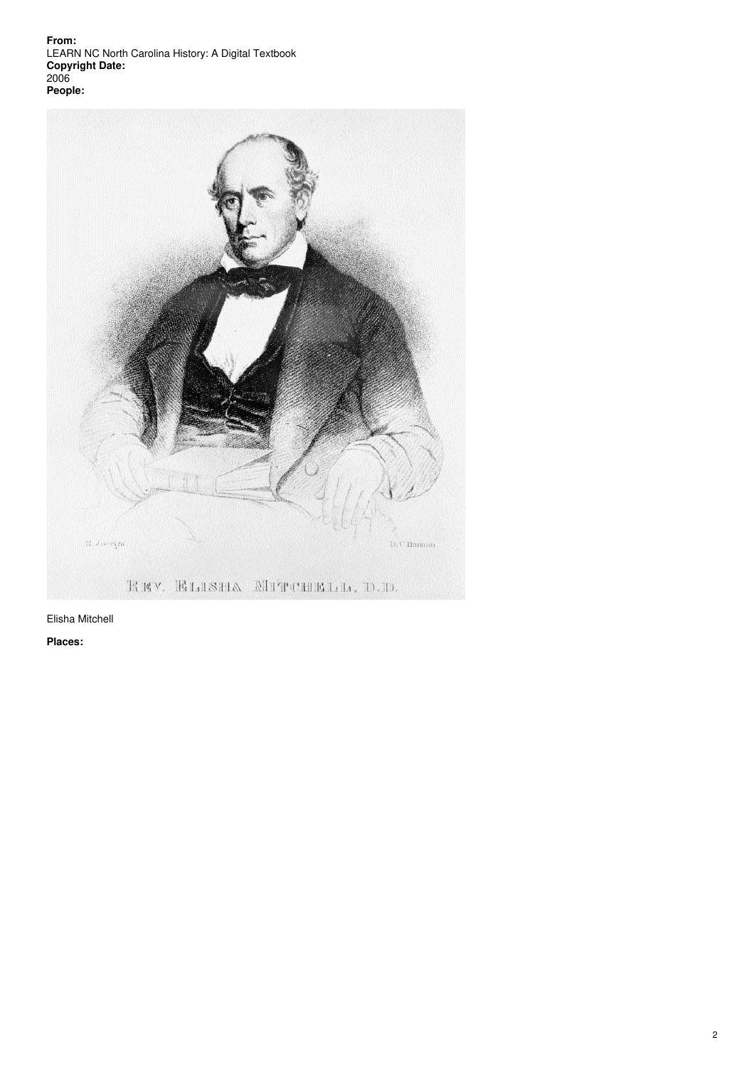**From:** LEARN NC North Carolina History: A Digital Textbook **Copyright Date:** 2006 **People:**



Elisha Mitchell

**Places:**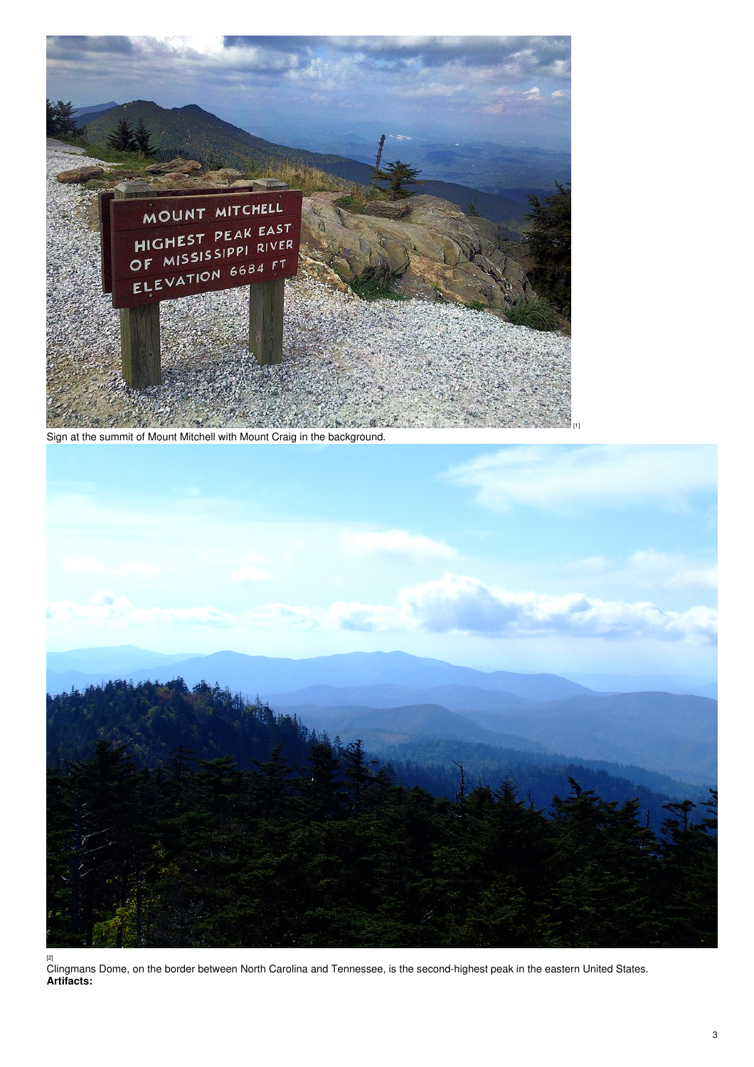

Sign at the summit of Mount Mitchell with Mount Craig in the background.



[1]

[2] Clingmans Dome, on the border between North Carolina and Tennessee, is the second-highest peak in the eastern United States. **Artifacts:**